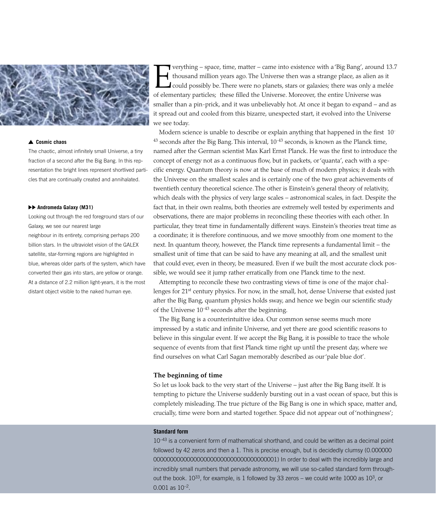

### **Cosmic chaos**

The chaotic, almost infinitely small Universe, a tiny fraction of a second after the Big Bang. In this representation the bright lines represent shortlived particles that are continually created and annihalated.

#### **Andromeda Galaxy (M31)**

Looking out through the red foreground stars of our Galaxy, we see our nearest large neighbour in its entirety, comprising perhaps 200 billion stars. In the ultraviolet vision of the GALEX satellite, star-forming regions are highlighted in blue, whereas older parts of the system, which have converted their gas into stars, are yellow or orange. At a distance of 2.2 million light-years, it is the most distant object visible to the naked human eye.

verything – space, time, matter – came into existence with a 'Big Bang', around 13.7<br>thousand million years ago. The Universe then was a strange place, as alien as it<br>could possibly be. There were no planets, stars or gala thousand million years ago. The Universe then was a strange place, as alien as it could possibly be. There were no planets, stars or galaxies; there was only a melée of elementary particles; these filled the Universe. Moreover, the entire Universe was smaller than a pin-prick, and it was unbelievably hot. At once it began to expand – and as it spread out and cooled from this bizarre, unexpected start, it evolved into the Universe we see today.

Modern science is unable to describe or explain anything that happened in the first 10-  $43$  seconds after the Big Bang. This interval,  $10^{-43}$  seconds, is known as the Planck time, named after the German scientist Max Karl Ernst Planck. He was the first to introduce the concept of energy not as a continuous flow, but in packets, or 'quanta', each with a specific energy. Quantum theory is now at the base of much of modern physics; it deals with the Universe on the smallest scales and is certainly one of the two great achievements of twentieth century theoretical science. The other is Einstein's general theory of relativity, which deals with the physics of very large scales – astronomical scales, in fact. Despite the fact that, in their own realms, both theories are extremely well tested by experiments and observations, there are major problems in reconciling these theories with each other. In particular, they treat time in fundamentally different ways. Einstein's theories treat time as a coordinate; it is therefore continuous, and we move smoothly from one moment to the next. In quantum theory, however, the Planck time represents a fundamental limit – the smallest unit of time that can be said to have any meaning at all, and the smallest unit that could ever, even in theory, be measured. Even if we built the most accurate clock possible, we would see it jump rather erratically from one Planck time to the next.

Attempting to reconcile these two contrasting views of time is one of the major challenges for 21st century physics. For now, in the small, hot, dense Universe that existed just after the Big Bang, quantum physics holds sway, and hence we begin our scientific study of the Universe  $10^{-43}$  seconds after the beginning.

The Big Bang is a counterintuitive idea. Our common sense seems much more impressed by a static and infinite Universe, and yet there are good scientific reasons to believe in this singular event. If we accept the Big Bang, it is possible to trace the whole sequence of events from that first Planck time right up until the present day, where we find ourselves on what Carl Sagan memorably described as our 'pale blue dot'.

### **The beginning of time**

So let us look back to the very start of the Universe – just after the Big Bang itself. It is tempting to picture the Universe suddenly bursting out in a vast ocean of space, but this is completely misleading. The true picture of the Big Bang is one in which space, matter and, crucially, time were born and started together. Space did not appear out of 'nothingness';

# **Standard form**

 $10^{-43}$  is a convenient form of mathematical shorthand, and could be written as a decimal point followed by 42 zeros and then a 1. This is precise enough, but is decidedly clumsy (0.000000 0000000000000000000000000000000000001) In order to deal with the incredibly large and incredibly small numbers that pervade astronomy, we will use so-called standard form throughout the book.  $10^{33}$ , for example, is 1 followed by 33 zeros – we could write 1000 as  $10^3$ , or  $0.001$  as  $10^{-2}$ .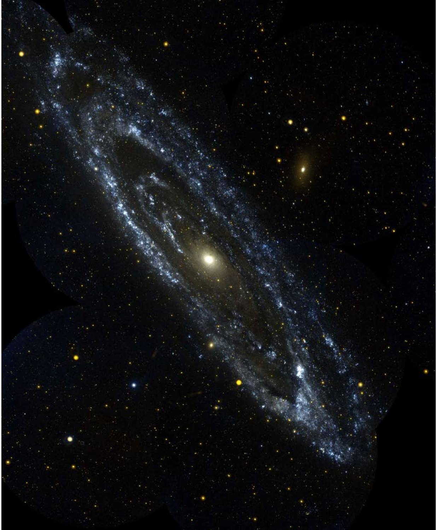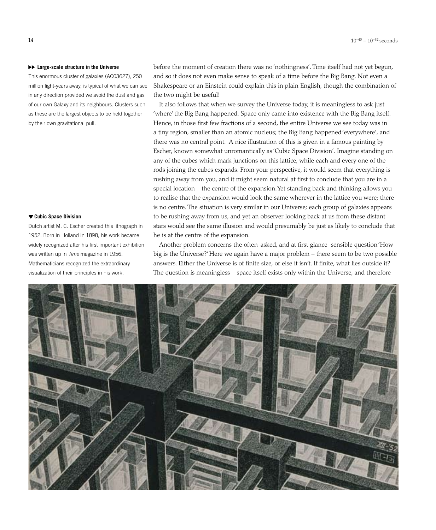# **Large-scale structure in the Universe**

This enormous cluster of galaxies (AC03627), 250 million light-years away, is typical of what we can see in any direction provided we avoid the dust and gas of our own Galaxy and its neighbours. Clusters such as these are the largest objects to be held together by their own gravitational pull.

### **Cubic Space Division**

Dutch artist M. C. Escher created this lithograph in 1952. Born in Holland in 1898, his work became widely recognized after his first important exhibition was written up in Time magazine in 1956. Mathematicians recognized the extraordinary visualization of their principles in his work.

before the moment of creation there was no 'nothingness'. Time itself had not yet begun, and so it does not even make sense to speak of a time before the Big Bang. Not even a Shakespeare or an Einstein could explain this in plain English, though the combination of the two might be useful!

It also follows that when we survey the Universe today, it is meaningless to ask just 'where' the Big Bang happened. Space only came into existence with the Big Bang itself. Hence, in those first few fractions of a second, the entire Universe we see today was in a tiny region, smaller than an atomic nucleus; the Big Bang happened 'everywhere', and there was no central point. A nice illustration of this is given in a famous painting by Escher, known somewhat unromantically as 'Cubic Space Division'. Imagine standing on any of the cubes which mark junctions on this lattice, while each and every one of the rods joining the cubes expands. From your perspective, it would seem that everything is rushing away from you, and it might seem natural at first to conclude that you are in a special location – the centre of the expansion. Yet standing back and thinking allows you to realise that the expansion would look the same wherever in the lattice you were; there is no centre. The situation is very similar in our Universe; each group of galaxies appears to be rushing away from us, and yet an observer looking back at us from these distant stars would see the same illusion and would presumably be just as likely to conclude that he is at the centre of the expansion.

Another problem concerns the often-asked, and at first glance sensible question 'How big is the Universe?' Here we again have a major problem – there seem to be two possible answers. Either the Universe is of finite size, or else it isn't. If finite, what lies outside it? The question is meaningless – space itself exists only within the Universe, and therefore

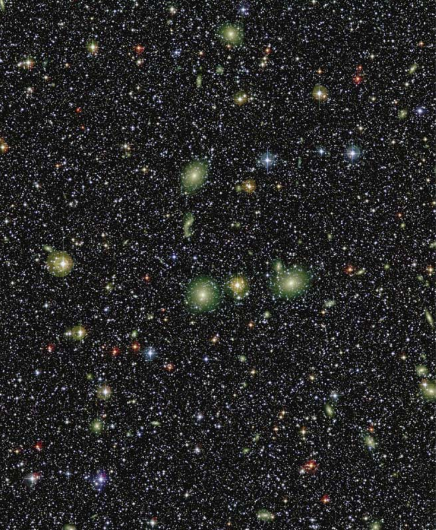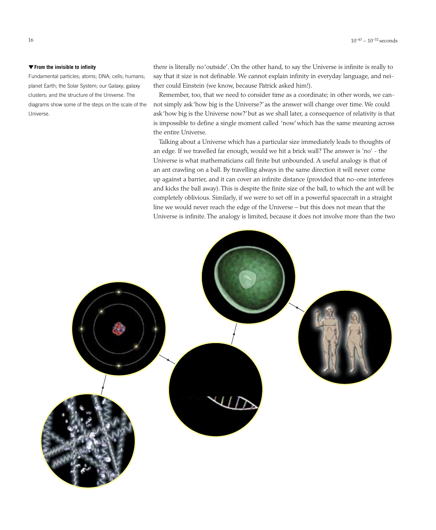# **From the invisible to infinity**

Fundamental particles; atoms; DNA; cells; humans; planet Earth; the Solar System; our Galaxy; galaxy clusters; and the structure of the Universe. The diagrams show some of the steps on the scale of the Universe.

there is literally no 'outside'. On the other hand, to say the Universe is infinite is really to say that it size is not definable. We cannot explain infinity in everyday language, and neither could Einstein (we know, because Patrick asked him!).

Remember, too, that we need to consider time as a coordinate; in other words, we cannot simply ask 'how big is the Universe?' as the answer will change over time. We could ask 'how big is the Universe now?' but as we shall later, a consequence of relativity is that is impossible to define a single moment called 'now' which has the same meaning across the entire Universe.

Talking about a Universe which has a particular size immediately leads to thoughts of an edge. If we travelled far enough, would we hit a brick wall? The answer is 'no' - the Universe is what mathematicians call finite but unbounded. A useful analogy is that of an ant crawling on a ball. By travelling always in the same direction it will never come up against a barrier, and it can cover an infinite distance (provided that no-one interferes and kicks the ball away). This is despite the finite size of the ball, to which the ant will be completely oblivious. Similarly, if we were to set off in a powerful spacecraft in a straight line we would never reach the edge of the Universe – but this does not mean that the Universe is infinite. The analogy is limited, because it does not involve more than the two

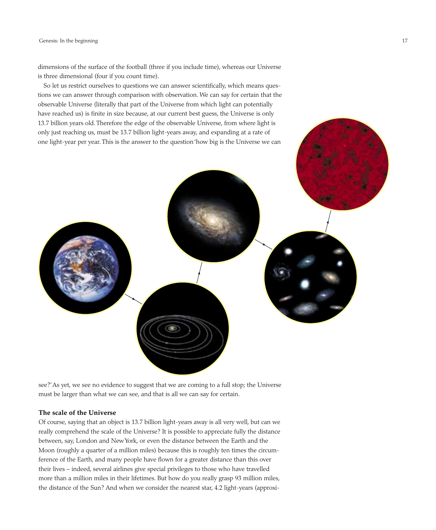dimensions of the surface of the football (three if you include time), whereas our Universe is three dimensional (four if you count time).

So let us restrict ourselves to questions we can answer scientifically, which means questions we can answer through comparison with observation. We can say for certain that the observable Universe (literally that part of the Universe from which light can potentially have reached us) is finite in size because, at our current best guess, the Universe is only 13.7 billion years old. Therefore the edge of the observable Universe, from where light is only just reaching us, must be 13.7 billion light-years away, and expanding at a rate of one light-year per year. This is the answer to the question 'how big is the Universe we can

see?' As yet, we see no evidence to suggest that we are coming to a full stop; the Universe must be larger than what we can see, and that is all we can say for certain.

### **The scale of the Universe**

Of course, saying that an object is 13.7 billion light-years away is all very well, but can we really comprehend the scale of the Universe? It is possible to appreciate fully the distance between, say, London and New York, or even the distance between the Earth and the Moon (roughly a quarter of a million miles) because this is roughly ten times the circumference of the Earth, and many people have flown for a greater distance than this over their lives – indeed, several airlines give special privileges to those who have travelled more than a million miles in their lifetimes. But how do you really grasp 93 million miles, the distance of the Sun? And when we consider the nearest star, 4.2 light-years (approxi-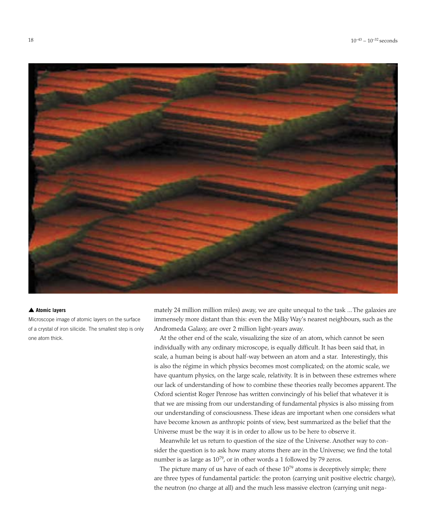

#### **Atomic layers**

Microscope image of atomic layers on the surface of a crystal of iron silicide. The smallest step is only one atom thick.

mately 24 million million miles) away, we are quite unequal to the task ... The galaxies are immensely more distant than this: even the Milky Way's nearest neighbours, such as the Andromeda Galaxy, are over 2 million light-years away.

At the other end of the scale, visualizing the size of an atom, which cannot be seen individually with any ordinary microscope, is equally difficult. It has been said that, in scale, a human being is about half-way between an atom and a star. Interestingly, this is also the régime in which physics becomes most complicated; on the atomic scale, we have quantum physics, on the large scale, relativity. It is in between these extremes where our lack of understanding of how to combine these theories really becomes apparent. The Oxford scientist Roger Penrose has written convincingly of his belief that whatever it is that we are missing from our understanding of fundamental physics is also missing from our understanding of consciousness. These ideas are important when one considers what have become known as anthropic points of view, best summarized as the belief that the Universe must be the way it is in order to allow us to be here to observe it.

Meanwhile let us return to question of the size of the Universe. Another way to consider the question is to ask how many atoms there are in the Universe; we find the total number is as large as  $10^{79}$ , or in other words a 1 followed by 79 zeros.

The picture many of us have of each of these  $10^{79}$  atoms is deceptively simple; there are three types of fundamental particle: the proton (carrying unit positive electric charge), the neutron (no charge at all) and the much less massive electron (carrying unit nega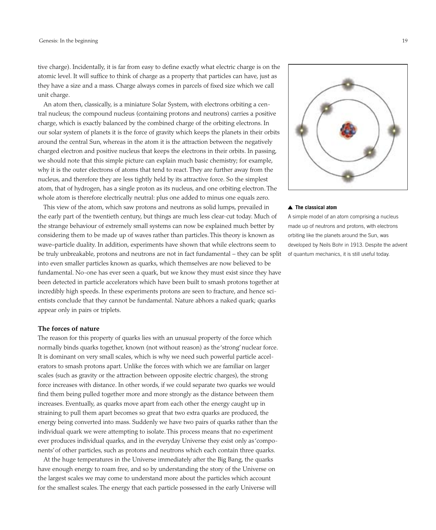tive charge). Incidentally, it is far from easy to define exactly what electric charge is on the atomic level. It will suffice to think of charge as a property that particles can have, just as they have a size and a mass. Charge always comes in parcels of fixed size which we call unit charge.

An atom then, classically, is a miniature Solar System, with electrons orbiting a central nucleus; the compound nucleus (containing protons and neutrons) carries a positive charge, which is exactly balanced by the combined charge of the orbiting electrons. In our solar system of planets it is the force of gravity which keeps the planets in their orbits around the central Sun, whereas in the atom it is the attraction between the negatively charged electron and positive nucleus that keeps the electrons in their orbits. In passing, we should note that this simple picture can explain much basic chemistry; for example, why it is the outer electrons of atoms that tend to react. They are further away from the nucleus, and therefore they are less tightly held by its attractive force. So the simplest atom, that of hydrogen, has a single proton as its nucleus, and one orbiting electron. The whole atom is therefore electrically neutral: plus one added to minus one equals zero.

This view of the atom, which saw protons and neutrons as solid lumps, prevailed in the early part of the twentieth century, but things are much less clear-cut today. Much of the strange behaviour of extremely small systems can now be explained much better by considering them to be made up of waves rather than particles. This theory is known as wave–particle duality. In addition, experiments have shown that while electrons seem to be truly unbreakable, protons and neutrons are not in fact fundamental – they can be split into even smaller particles known as quarks, which themselves are now believed to be fundamental. No-one has ever seen a quark, but we know they must exist since they have been detected in particle accelerators which have been built to smash protons together at incredibly high speeds. In these experiments protons are seen to fracture, and hence scientists conclude that they cannot be fundamental. Nature abhors a naked quark; quarks appear only in pairs or triplets.

### **The forces of nature**

The reason for this property of quarks lies with an unusual property of the force which normally binds quarks together, known (not without reason) as the 'strong' nuclear force. It is dominant on very small scales, which is why we need such powerful particle accelerators to smash protons apart. Unlike the forces with which we are familiar on larger scales (such as gravity or the attraction between opposite electric charges), the strong force increases with distance. In other words, if we could separate two quarks we would find them being pulled together more and more strongly as the distance between them increases. Eventually, as quarks move apart from each other the energy caught up in straining to pull them apart becomes so great that two extra quarks are produced, the energy being converted into mass. Suddenly we have two pairs of quarks rather than the individual quark we were attempting to isolate. This process means that no experiment ever produces individual quarks, and in the everyday Universe they exist only as 'components' of other particles, such as protons and neutrons which each contain three quarks.

At the huge temperatures in the Universe immediately after the Big Bang, the quarks have enough energy to roam free, and so by understanding the story of the Universe on the largest scales we may come to understand more about the particles which account for the smallest scales. The energy that each particle possessed in the early Universe will



### **The classical atom**

A simple model of an atom comprising a nucleus made up of neutrons and protons, with electrons orbiting like the planets around the Sun, was developed by Neils Bohr in 1913. Despite the advent of quantum mechanics, it is still useful today.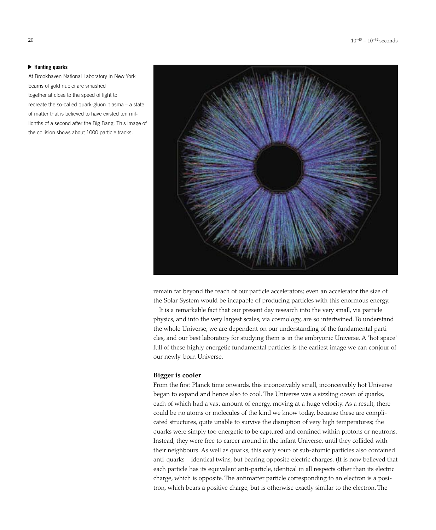# **Hunting quarks**

At Brookhaven National Laboratory in New York beams of gold nuclei are smashed together at close to the speed of light to recreate the so-called quark-gluon plasma – a state of matter that is believed to have existed ten millionths of a second after the Big Bang. This image of the collision shows about 1000 particle tracks.



remain far beyond the reach of our particle accelerators; even an accelerator the size of the Solar System would be incapable of producing particles with this enormous energy.

It is a remarkable fact that our present day research into the very small, via particle physics, and into the very largest scales, via cosmology, are so intertwined. To understand the whole Universe, we are dependent on our understanding of the fundamental particles, and our best laboratory for studying them is in the embryonic Universe. A 'hot space' full of these highly energetic fundamental particles is the earliest image we can conjour of our newly-born Universe.

# **Bigger is cooler**

From the first Planck time onwards, this inconceivably small, inconceivably hot Universe began to expand and hence also to cool. The Universe was a sizzling ocean of quarks, each of which had a vast amount of energy, moving at a huge velocity. As a result, there could be no atoms or molecules of the kind we know today, because these are complicated structures, quite unable to survive the disruption of very high temperatures; the quarks were simply too energetic to be captured and confined within protons or neutrons. Instead, they were free to career around in the infant Universe, until they collided with their neighbours. As well as quarks, this early soup of sub-atomic particles also contained anti-quarks – identical twins, but bearing opposite electric charges. (It is now believed that each particle has its equivalent anti-particle, identical in all respects other than its electric charge, which is opposite. The antimatter particle corresponding to an electron is a positron, which bears a positive charge, but is otherwise exactly similar to the electron. The